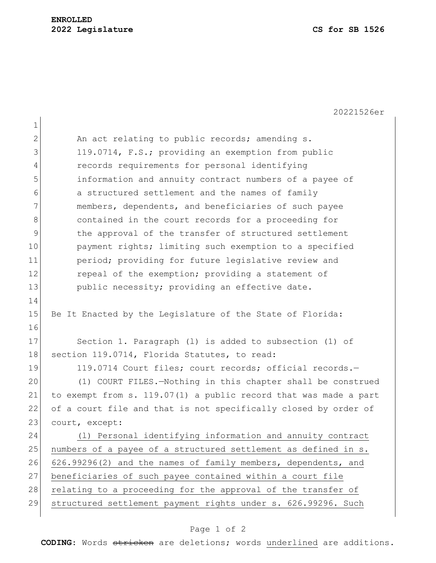20221526er

1 2 An act relating to public records; amending s. 3 119.0714, F.S.; providing an exemption from public 4 records requirements for personal identifying 5 information and annuity contract numbers of a payee of 6 a structured settlement and the names of family 7 members, dependents, and beneficiaries of such payee 8 8 8 8 contained in the court records for a proceeding for 9 block the approval of the transfer of structured settlement 10 payment rights; limiting such exemption to a specified 11 period; providing for future legislative review and 12 repeal of the exemption; providing a statement of 13 public necessity; providing an effective date. 14 15 Be It Enacted by the Legislature of the State of Florida: 16 17 Section 1. Paragraph (1) is added to subsection (1) of 18 section 119.0714, Florida Statutes, to read: 19 119.0714 Court files; court records; official records. 20 (1) COURT FILES.—Nothing in this chapter shall be construed 21 to exempt from s. 119.07(1) a public record that was made a part 22 of a court file and that is not specifically closed by order of 23 court, except: 24 (l) Personal identifying information and annuity contract 25 numbers of a payee of a structured settlement as defined in s. 26 626.99296(2) and the names of family members, dependents, and 27 beneficiaries of such payee contained within a court file 28 relating to a proceeding for the approval of the transfer of 29 structured settlement payment rights under s. 626.99296. Such

## Page 1 of 2

**CODING**: Words stricken are deletions; words underlined are additions.